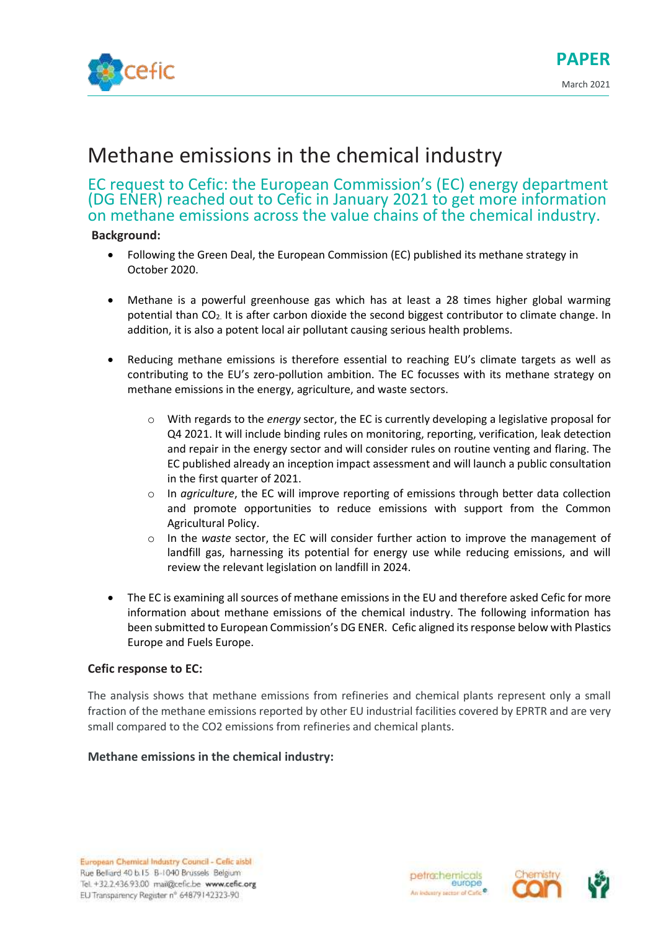

# Methane emissions in the chemical industry

EC request to Cefic: the European Commission's (EC) energy department (DG ENER) reached out to Cefic in January 2021 to get more information on methane emissions across the value chains of the chemical industry.

### **Background:**

- Following the Green Deal, the European Commission (EC) published its methane strategy in October 2020.
- Methane is a powerful greenhouse gas which has at least a 28 times higher global warming potential than CO2. It is after carbon dioxide the second biggest contributor to climate change. In addition, it is also a potent local air pollutant causing serious health problems.
- Reducing methane emissions is therefore essential to reaching EU's climate targets as well as contributing to the EU's zero-pollution ambition. The EC focusses with its methane strategy on methane emissions in the energy, agriculture, and waste sectors.
	- o With regards to the *energy* sector, the EC is currently developing a legislative proposal for Q4 2021. It will include binding rules on monitoring, reporting, verification, leak detection and repair in the energy sector and will consider rules on routine venting and flaring. The EC published already an inception [impact assessment](https://ec.europa.eu/info/law/better-regulation/have-your-say/initiatives/12581) and will launch a public consultation in the first quarter of 2021.
	- o In *agriculture*, the EC will improve reporting of emissions through better data collection and promote opportunities to reduce emissions with support from the Common Agricultural Policy.
	- o In the *waste* sector, the EC will consider further action to improve the management of landfill gas, harnessing its potential for energy use while reducing emissions, and will review the relevant legislation on landfill in 2024.
- The EC is examining all sources of methane emissions in the EU and therefore asked Cefic for more information about methane emissions of the chemical industry. The following information has been submitted to European Commission's DG ENER. Cefic aligned its response below with Plastics Europe and Fuels Europe.

#### **Cefic response to EC:**

The analysis shows that methane emissions from refineries and chemical plants represent only a small fraction of the methane emissions reported by other EU industrial facilities covered by EPRTR and are very small compared to the CO2 emissions from refineries and chemical plants.

#### **Methane emissions in the chemical industry:**